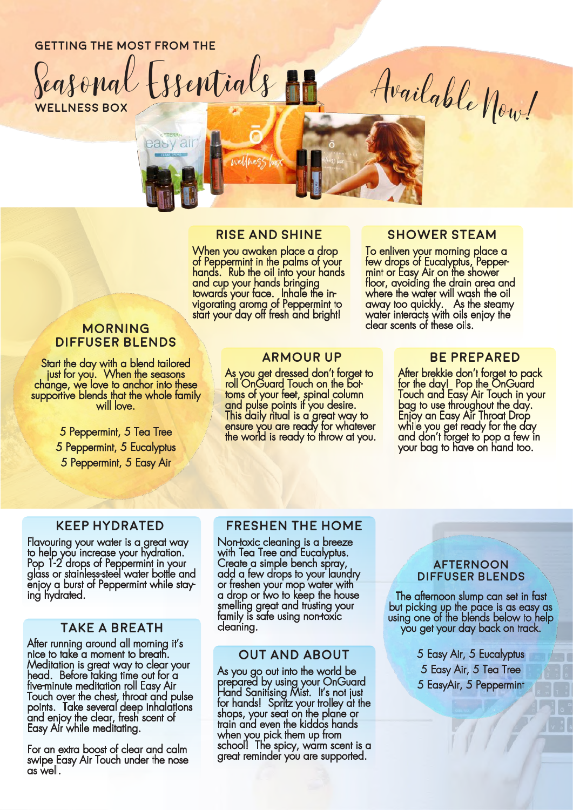# **getting the most from the**

easy air

**wellness box** Seasonal Essentials

# **Rise and Shine**

When you awaken place a drop of Peppermint in the palms of your hands. Rub the oil into your hands and cup your hands bringing towards your face. Inhale the invigorating aroma of Peppermint to start your day off fresh and bright!

# **morning diffuser blends**

Start the day with a blend tailored just for you. When the seasons change, we love to anchor into these supportive blends that the whole family will love.

> 5 Peppermint, 5 Tea Tree 5 Peppermint, 5 Eucalyptus 5 Peppermint, 5 Easy Air

#### **armour up**

As you get dressed don't forget to roll OnGuard Touch on the bottoms of your feet, spinal column and pulse points if you desire. This daily ritual is a great way to ensure you are ready for whatever the world is ready to throw at you.

#### **shower steam**

Available Now!

To enliven your morning place a few drops of Eucalyptus, Peppermint or Easy Air on the shower floor, avoiding the drain area and where the water will wash the oil away too quickly. As the steamy water interacts with oils enjoy the clear scents of these oils.

#### **be prepared**

After brekkie don't forget to pack for the day! Pop the OnGuard Touch and Easy Air Touch in your bag to use throughout the day. Enjoy an Easy Air Throat Drop while you get ready for the day and don't forget to pop a few in your bag to have on hand too.

#### **Keep Hydrated**

Flavouring your water is a great way to help you increase your hydration. Pop 1-2 drops of Peppermint in your glass or stainless-steel water bottle and enjoy a burst of Peppermint while staying hydrated.

# **Take a breath**

After running around all morning it's nice to take a moment to breath. Meditation is great way to clear your head. Before taking time out for a five-minute meditation roll Easy Air Touch over the chest, throat and pulse points. Take several deep inhalations and enjoy the clear, fresh scent of Easy Air while meditating.

For an extra boost of clear and calm swipe Easy Air Touch under the nose as well.

# **Freshen the home**

Non-toxic cleaning is a breeze with Tea Tree and Eucalyptus. Create a simple bench spray, add a few drops to your laundry or freshen your mop water with a drop or two to keep the house smelling great and trusting your family is safe using non-toxic cleaning.

# **Out and about**

As you go out into the world be prepared by using your OnGuard Hand Sanitising Mist. It's not just for hands! Spritz your trolley at the shops, your seat on the plane or train and even the kiddos hands when you pick them up from school! The spicy, warm scent is a areat reminder you are supported.

#### **afternoon diffuser blends**

The afternoon slump can set in fast but picking up the pace is as easy as using one of the blends below to help you get your day back on track.

> 5 Easy Air, 5 Eucalyptus 5 Easy Air, 5 Tea Tree 5 EasyAir, 5 Peppermint